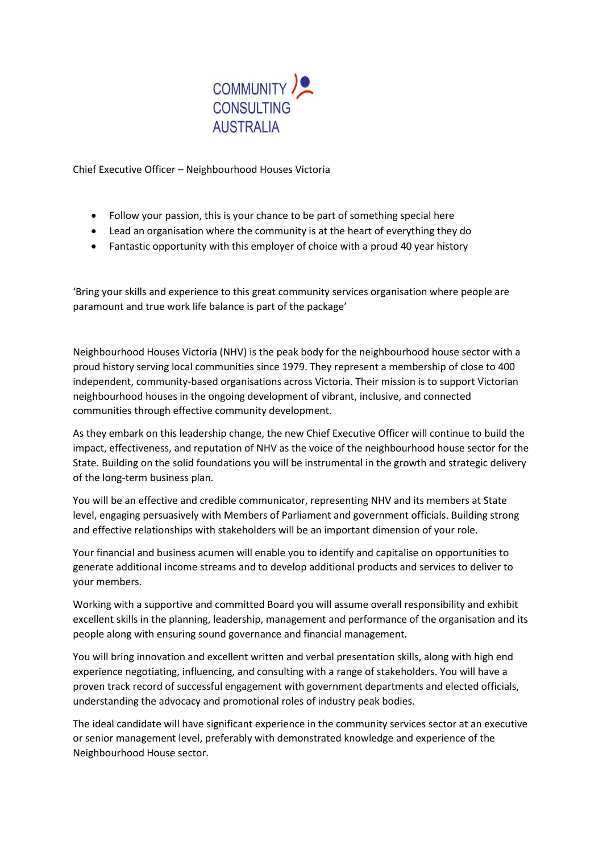

Chief Executive Officer – Neighbourhood Houses Victoria

- Follow your passion, this is your chance to be part of something special here
- Lead an organisation where the community is at the heart of everything they do
- Fantastic opportunity with this employer of choice with a proud 40 year history

'Bring your skills and experience to this great community services organisation where people are paramount and true work life balance is part of the package'

Neighbourhood Houses Victoria (NHV) is the peak body for the neighbourhood house sector with a proud history serving local communities since 1979. They represent a membership of close to 400 independent, community-based organisations across Victoria. Their mission is to support Victorian neighbourhood houses in the ongoing development of vibrant, inclusive, and connected communities through effective community development.

As they embark on this leadership change, the new Chief Executive Officer will continue to build the impact, effectiveness, and reputation of NHV as the voice of the neighbourhood house sector for the State. Building on the solid foundations you will be instrumental in the growth and strategic delivery of the long-term business plan.

You will be an effective and credible communicator, representing NHV and its members at State level, engaging persuasively with Members of Parliament and government officials. Building strong and effective relationships with stakeholders will be an important dimension of your role.

Your financial and business acumen will enable you to identify and capitalise on opportunities to generate additional income streams and to develop additional products and services to deliver to your members.

Working with a supportive and committed Board you will assume overall responsibility and exhibit excellent skills in the planning, leadership, management and performance of the organisation and its people along with ensuring sound governance and financial management.

You will bring innovation and excellent written and verbal presentation skills, along with high end experience negotiating, influencing, and consulting with a range of stakeholders. You will have a proven track record of successful engagement with government departments and elected officials, understanding the advocacy and promotional roles of industry peak bodies.

The ideal candidate will have significant experience in the community services sector at an executive or senior management level, preferably with demonstrated knowledge and experience of the Neighbourhood House sector.